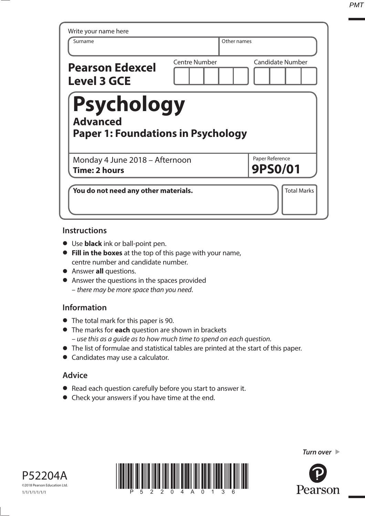| Write your name here<br>Surname                                             |                      | Other names                       |
|-----------------------------------------------------------------------------|----------------------|-----------------------------------|
| <b>Pearson Edexcel</b><br><b>Level 3 GCE</b>                                | <b>Centre Number</b> | <b>Candidate Number</b>           |
|                                                                             |                      |                                   |
| <b>Advanced</b><br><b>Paper 1: Foundations in Psychology</b>                |                      |                                   |
| <b>Psychology</b><br>Monday 4 June 2018 - Afternoon<br><b>Time: 2 hours</b> |                      | Paper Reference<br><b>9PS0/01</b> |

#### **Instructions**

- Use **black** ink or ball-point pen.
- **Fill in the boxes** at the top of this page with your name, centre number and candidate number.
- Answer **all** questions.
- Answer the questions in the spaces provided – there may be more space than you need.

# **Information**

- The total mark for this paper is 90.
- The marks for **each** question are shown in brackets – use this as a guide as to how much time to spend on each question.
- The list of formulae and statistical tables are printed at the start of this paper.
- Candidates may use a calculator.

# **Advice**

- Read each question carefully before you start to answer it.
- Check your answers if you have time at the end.





**Turn over** 

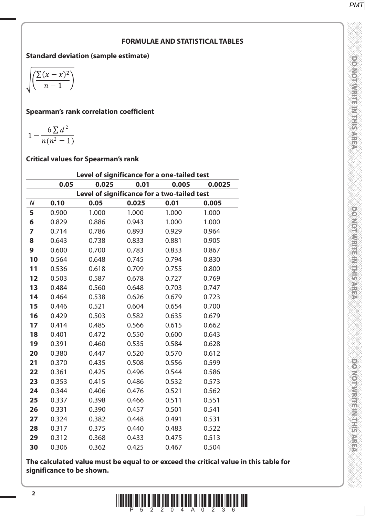**DONOTAVRITEINTHIS AREA** 

**DO NOT WRITE IN THE SARE**A

**DONORWRITESMSELSARER** 

#### **FORMULAE AND STATISTICAL TABLES**

# **Standard deviation (sample estimate)**

$$
\sqrt{\left(\frac{\sum (x-\bar{x})^2}{n-1}\right)}
$$

**Spearman's rank correlation coefficient**

$$
1 - \frac{6\sum d^2}{n(n^2 - 1)}
$$

**Critical values for Spearman's rank**

|    |       | Level of significance for a one-tailed test |       |       |        |
|----|-------|---------------------------------------------|-------|-------|--------|
|    | 0.05  | 0.025                                       | 0.01  | 0.005 | 0.0025 |
|    |       | Level of significance for a two-tailed test |       |       |        |
| N  | 0.10  | 0.05                                        | 0.025 | 0.01  | 0.005  |
| 5  | 0.900 | 1.000                                       | 1.000 | 1.000 | 1.000  |
| 6  | 0.829 | 0.886                                       | 0.943 | 1.000 | 1.000  |
| 7  | 0.714 | 0.786                                       | 0.893 | 0.929 | 0.964  |
| 8  | 0.643 | 0.738                                       | 0.833 | 0.881 | 0.905  |
| 9  | 0.600 | 0.700                                       | 0.783 | 0.833 | 0.867  |
| 10 | 0.564 | 0.648                                       | 0.745 | 0.794 | 0.830  |
| 11 | 0.536 | 0.618                                       | 0.709 | 0.755 | 0.800  |
| 12 | 0.503 | 0.587                                       | 0.678 | 0.727 | 0.769  |
| 13 | 0.484 | 0.560                                       | 0.648 | 0.703 | 0.747  |
| 14 | 0.464 | 0.538                                       | 0.626 | 0.679 | 0.723  |
| 15 | 0.446 | 0.521                                       | 0.604 | 0.654 | 0.700  |
| 16 | 0.429 | 0.503                                       | 0.582 | 0.635 | 0.679  |
| 17 | 0.414 | 0.485                                       | 0.566 | 0.615 | 0.662  |
| 18 | 0.401 | 0.472                                       | 0.550 | 0.600 | 0.643  |
| 19 | 0.391 | 0.460                                       | 0.535 | 0.584 | 0.628  |
| 20 | 0.380 | 0.447                                       | 0.520 | 0.570 | 0.612  |
| 21 | 0.370 | 0.435                                       | 0.508 | 0.556 | 0.599  |
| 22 | 0.361 | 0.425                                       | 0.496 | 0.544 | 0.586  |
| 23 | 0.353 | 0.415                                       | 0.486 | 0.532 | 0.573  |
| 24 | 0.344 | 0.406                                       | 0.476 | 0.521 | 0.562  |
| 25 | 0.337 | 0.398                                       | 0.466 | 0.511 | 0.551  |
| 26 | 0.331 | 0.390                                       | 0.457 | 0.501 | 0.541  |
| 27 | 0.324 | 0.382                                       | 0.448 | 0.491 | 0.531  |
| 28 | 0.317 | 0.375                                       | 0.440 | 0.483 | 0.522  |
| 29 | 0.312 | 0.368                                       | 0.433 | 0.475 | 0.513  |
| 30 | 0.306 | 0.362                                       | 0.425 | 0.467 | 0.504  |

**The calculated value must be equal to or exceed the critical value in this table for significance to be shown.**

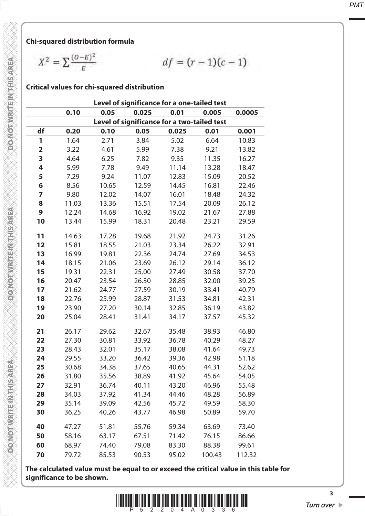**Chi-squared distribution formula**

$$
X^2 = \sum \frac{(o - E)^2}{E} \qquad df = (r - 1)(c - 1)
$$

# **Critical values for chi-squared distribution**

|                         |       |       | Level of significance for a one-tailed test |       |        |        |
|-------------------------|-------|-------|---------------------------------------------|-------|--------|--------|
|                         | 0.10  | 0.05  | 0.025                                       | 0.01  | 0.005  | 0.0005 |
|                         |       |       | Level of significance for a two-tailed test |       |        |        |
| df                      | 0.20  | 0.10  | 0.05                                        | 0.025 | 0.01   | 0.001  |
| 1                       | 1.64  | 2.71  | 3.84                                        | 5.02  | 6.64   | 10.83  |
| $\overline{\mathbf{2}}$ | 3.22  | 4.61  | 5.99                                        | 7.38  | 9.21   | 13.82  |
| 3                       | 4.64  | 6.25  | 7.82                                        | 9.35  | 11.35  | 16.27  |
| 4                       | 5.99  | 7.78  | 9.49                                        | 11.14 | 13.28  | 18.47  |
| 5                       | 7.29  | 9.24  | 11.07                                       | 12.83 | 15.09  | 20.52  |
| 6                       | 8.56  | 10.65 | 12.59                                       | 14.45 | 16.81  | 22.46  |
| 7                       | 9.80  | 12.02 | 14.07                                       | 16.01 | 18.48  | 24.32  |
| 8                       | 11.03 | 13.36 | 15.51                                       | 17.54 | 20.09  | 26.12  |
| 9                       | 12.24 | 14.68 | 16.92                                       | 19.02 | 21.67  | 27.88  |
| 10                      | 13.44 | 15.99 | 18.31                                       | 20.48 | 23.21  | 29.59  |
| 11                      | 14.63 | 17.28 | 19.68                                       | 21.92 | 24.73  | 31.26  |
| 12                      | 15.81 | 18.55 | 21.03                                       | 23.34 | 26.22  | 32.91  |
| 13                      | 16.99 | 19.81 | 22.36                                       | 24.74 | 27.69  | 34.53  |
| 14                      | 18.15 | 21.06 | 23.69                                       | 26.12 | 29.14  | 36.12  |
| 15                      | 19.31 | 22.31 | 25.00                                       | 27.49 | 30.58  | 37.70  |
| 16                      | 20.47 | 23.54 | 26.30                                       | 28.85 | 32.00  | 39.25  |
| 17                      | 21.62 | 24.77 | 27.59                                       | 30.19 | 33.41  | 40.79  |
| 18                      | 22.76 | 25.99 | 28.87                                       | 31.53 | 34.81  | 42.31  |
| 19                      | 23.90 | 27.20 | 30.14                                       | 32.85 | 36.19  | 43.82  |
| 20                      | 25.04 | 28.41 | 31.41                                       | 34.17 | 37.57  | 45.32  |
|                         |       |       |                                             |       |        |        |
| 21                      | 26.17 | 29.62 | 32.67                                       | 35.48 | 38.93  | 46.80  |
| 22                      | 27.30 | 30.81 | 33.92                                       | 36.78 | 40.29  | 48.27  |
| 23                      | 28.43 | 32.01 | 35.17                                       | 38.08 | 41.64  | 49.73  |
| 24                      | 29.55 | 33.20 | 36.42                                       | 39.36 | 42.98  | 51.18  |
| 25                      | 30.68 | 34.38 | 37.65                                       | 40.65 | 44.31  | 52.62  |
| 26                      | 31.80 | 35.56 | 38.89                                       | 41.92 | 45.64  | 54.05  |
| 27                      | 32.91 | 36.74 | 40.11                                       | 43.20 | 46.96  | 55.48  |
| 28                      | 34.03 | 37.92 | 41.34                                       | 44.46 | 48.28  | 56.89  |
| 29                      | 35.14 | 39.09 | 42.56                                       | 45.72 | 49.59  | 58.30  |
| 30                      | 36.25 | 40.26 | 43.77                                       | 46.98 | 50.89  | 59.70  |
| 40                      | 47.27 | 51.81 | 55.76                                       | 59.34 | 63.69  | 73.40  |
| 50                      | 58.16 | 63.17 | 67.51                                       | 71.42 | 76.15  | 86.66  |
| 60                      | 68.97 | 74.40 | 79.08                                       | 83.30 | 88.38  | 99.61  |
| 70                      | 79.72 | 85.53 | 90.53                                       | 95.02 | 100.43 | 112.32 |

**The calculated value must be equal to or exceed the critical value in this table for significance to be shown.**

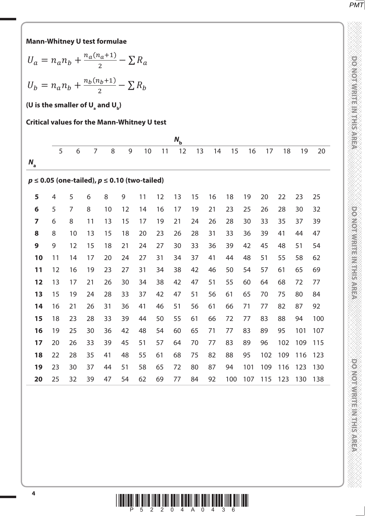DONOTWRITEINTHIS AREA

**DOMOTIVISTIRININGS** 

**DONORWRITE/MYHISARER** 

# **Mann-Whitney U test formulae**

$$
U_a = n_a n_b + \frac{n_a(n_a+1)}{2} - \sum R_a
$$
  

$$
U_b = n_a n_b + \frac{n_b(n_b+1)}{2} - \sum R_b
$$

# (U is the smaller of U<sub>a</sub> and U<sub>b</sub>)

# **Critical values for the Mann-Whitney U test**

|                                                      |    |    |    |    |    |    |    | $N_{\rm b}$ |    |    |     |     |     |     |     |     |
|------------------------------------------------------|----|----|----|----|----|----|----|-------------|----|----|-----|-----|-----|-----|-----|-----|
|                                                      | 5  | 6  | 7  | 8  | 9  | 10 | 11 | 12          | 13 | 14 | 15  | 16  | 17  | 18  | 19  | 20  |
| $N_{\rm a}$                                          |    |    |    |    |    |    |    |             |    |    |     |     |     |     |     |     |
| $p \le 0.05$ (one-tailed), $p \le 0.10$ (two-tailed) |    |    |    |    |    |    |    |             |    |    |     |     |     |     |     |     |
| 5                                                    | 4  | 5  | 6  | 8  | 9  | 11 | 12 | 13          | 15 | 16 | 18  | 19  | 20  | 22  | 23  | 25  |
| 6                                                    | 5  | 7  | 8  | 10 | 12 | 14 | 16 | 17          | 19 | 21 | 23  | 25  | 26  | 28  | 30  | 32  |
| 7                                                    | 6  | 8  | 11 | 13 | 15 | 17 | 19 | 21          | 24 | 26 | 28  | 30  | 33  | 35  | 37  | 39  |
| 8                                                    | 8  | 10 | 13 | 15 | 18 | 20 | 23 | 26          | 28 | 31 | 33  | 36  | 39  | 41  | 44  | 47  |
| 9                                                    | 9  | 12 | 15 | 18 | 21 | 24 | 27 | 30          | 33 | 36 | 39  | 42  | 45  | 48  | 51  | 54  |
| 10                                                   | 11 | 14 | 17 | 20 | 24 | 27 | 31 | 34          | 37 | 41 | 44  | 48  | 51  | 55  | 58  | 62  |
| 11                                                   | 12 | 16 | 19 | 23 | 27 | 31 | 34 | 38          | 42 | 46 | 50  | 54  | 57  | 61  | 65  | 69  |
| 12                                                   | 13 | 17 | 21 | 26 | 30 | 34 | 38 | 42          | 47 | 51 | 55  | 60  | 64  | 68  | 72  | 77  |
| 13                                                   | 15 | 19 | 24 | 28 | 33 | 37 | 42 | 47          | 51 | 56 | 61  | 65  | 70  | 75  | 80  | 84  |
| 14                                                   | 16 | 21 | 26 | 31 | 36 | 41 | 46 | 51          | 56 | 61 | 66  | 71  | 77  | 82  | 87  | 92  |
| 15                                                   | 18 | 23 | 28 | 33 | 39 | 44 | 50 | 55          | 61 | 66 | 72  | 77  | 83  | 88  | 94  | 100 |
| 16                                                   | 19 | 25 | 30 | 36 | 42 | 48 | 54 | 60          | 65 | 71 | 77  | 83  | 89  | 95  | 101 | 107 |
| 17                                                   | 20 | 26 | 33 | 39 | 45 | 51 | 57 | 64          | 70 | 77 | 83  | 89  | 96  | 102 | 109 | 115 |
| 18                                                   | 22 | 28 | 35 | 41 | 48 | 55 | 61 | 68          | 75 | 82 | 88  | 95  | 102 | 109 | 116 | 123 |
| 19                                                   | 23 | 30 | 37 | 44 | 51 | 58 | 65 | 72          | 80 | 87 | 94  | 101 | 109 | 116 | 123 | 130 |
| 20                                                   | 25 | 32 | 39 | 47 | 54 | 62 | 69 | 77          | 84 | 92 | 100 | 107 | 115 | 123 | 130 | 138 |

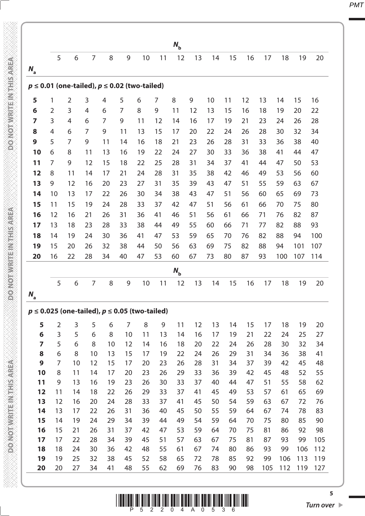|                                                       |                |                |                |                |                |          |          | $N_{\rm b}$ |          |          |          |          |          |          |          |          |
|-------------------------------------------------------|----------------|----------------|----------------|----------------|----------------|----------|----------|-------------|----------|----------|----------|----------|----------|----------|----------|----------|
|                                                       | 5              | 6              | $\overline{7}$ | 8              | 9              | 10       | 11       | 12          | 13       | 14       | 15       | 16       | 17       | 18       | 19       | 20       |
| $N_{\rm a}$                                           |                |                |                |                |                |          |          |             |          |          |          |          |          |          |          |          |
| $p \le 0.01$ (one-tailed), $p \le 0.02$ (two-tailed)  |                |                |                |                |                |          |          |             |          |          |          |          |          |          |          |          |
| 5                                                     | 1              | $\overline{2}$ | 3              | 4              | 5              | 6        | 7        | 8           | 9        | 10       | 11       | 12       | 13       | 14       | 15       | 16       |
| 6                                                     | $\overline{2}$ | 3              | $\overline{4}$ | 6              | $\overline{7}$ | 8        | 9        | 11          | 12       | 13       | 15       | 16       | 18       | 19       | 20       | 22       |
| $\overline{7}$                                        | 3              | $\overline{4}$ | 6              | $\overline{7}$ | 9              | 11       | 12       | 14          | 16       | 17       | 19       | 21       | 23       | 24       | 26       | 28       |
| 8                                                     | $\overline{4}$ | 6              | $\overline{7}$ | 9              | 11             | 13       | 15       | 17          | 20       | 22       | 24       | 26       | 28       | 30       | 32       | 34       |
| 9                                                     | 5              | $\overline{7}$ | 9              | 11             | 14             | 16       | 18       | 21          | 23       | 26       | 28       | 31       | 33       | 36       | 38       | 40       |
| 10                                                    | 6              | 8              | 11             | 13             | 16             | 19       | 22       | 24          | 27       | 30       | 33       | 36       | 38       | 41       | 44       | 47       |
| 11                                                    | $\overline{7}$ | 9              | 12             | 15             | 18             | 22       | 25       | 28          | 31       | 34       | 37       | 41       | 44       | 47       | 50       | 53       |
| 12                                                    | 8              | 11             | 14             | 17             | 21             | 24       | 28       | 31          | 35       | 38       | 42       | 46       | 49       | 53       | 56       | 60       |
| 13                                                    | 9              | 12             | 16             | 20             | 23             | 27       | 31       | 35          | 39       | 43       | 47       | 51       | 55       | 59       | 63       | 67       |
| 14                                                    | 10             | 13             | 17             | 22             | 26             | 30       | 34       | 38          | 43       | 47       | 51       | 56       | 60       | 65       | 69       | 73       |
| 15                                                    | 11             | 15             | 19             | 24             | 28             | 33       | 37       | 42          | 47       | 51       | 56       | 61       | 66       | 70       | 75       | 80       |
| 16                                                    | 12             | 16             | 21             | 26             | 31             | 36       | 41       | 46          | 51       | 56       | 61       | 66       | 71       | 76       | 82       | 87       |
| 17                                                    | 13             | 18             | 23             | 28             | 33             | 38       | 44       | 49          | 55       | 60       | 66       | 71       | 77       | 82       | 88       | 93       |
| 18                                                    | 14             | 19             | 24             | 30             | 36             | 41       | 47       | 53          | 59       | 65       | 70       | 76       | 82       | 88       | 94       | 100      |
| 19                                                    | 15             | 20             | 26             | 32             | 38             | 44       | 50       | 56          | 63       | 69       | 75       | 82       | 88       | 94       | 101      | 107      |
| 20                                                    | 16             | 22             | 28             | 34             | 40             | 47       | 53       | 60          | 67       | 73       | 80       | 87       | 93       | 100      | 107      | 114      |
|                                                       |                |                |                |                |                |          |          | $N_{\rm b}$ |          |          |          |          |          |          |          |          |
| $N_{\rm a}$                                           | 5              | 6              | $\overline{7}$ | 8              | 9              | 10       | 11       | 12          | 13       | 14       | 15       | 16       | 17       | 18       | 19       | 20       |
| $p \le 0.025$ (one-tailed), $p \le 0.05$ (two-tailed) |                |                |                |                |                |          |          |             |          |          |          |          |          |          |          |          |
| 5                                                     | $\overline{2}$ | 3              | 5              | 6              | 7              | 8        | 9        | 11          | 12       | 13       | 14       | 15       | 17       | 18       | 19       | 20       |
| 6                                                     | 3              | 5              | 6              | 8              | 10             | 11       | 13       | 14          | 16       | 17       | 19       | 21       | 22       | 24       | 25       | 27       |
| $\overline{7}$                                        | 5              | 6              | 8              | 10             | 12             | 14       | 16       | 18          | 20       | 22       | 24       | 26       | 28       | 30       | 32       | 34       |
| 8                                                     | 6              | 8              | 10             | 13             | 15             | 17       | 19       | 22          | 24       | 26       | 29       | 31       | 34       | 36       | 38       | 41       |
| 9                                                     | 7              | 10             | 12             | 15             | 17             | 20       | 23       | 26          | 28       | 31       | 34       | 37       | 39       | 42       | 45       | 48       |
| 10                                                    | 8              | 11             | 14             | 17             | 20             | 23       | 26       | 29          | 33       | 36       | 39       | 42       | 45       | 48       | 52       | 55       |
| 11                                                    | 9              | 13             | 16             | 19             | 23             | 26       | 30       | 33          | 37       | 40       | 44       | 47       | 51       | 55       | 58       | 62       |
| 12<br>13                                              | 11<br>12       | 14<br>16       | 18<br>20       | 22<br>24       | 26<br>28       | 29<br>33 | 33<br>37 | 37<br>41    | 41<br>45 | 45<br>50 | 49<br>54 | 53<br>59 | 57<br>63 | 61<br>67 | 65<br>72 | 69<br>76 |
| 14                                                    | 13             | 17             | 22             | 26             | 31             | 36       | 40       | 45          | 50       | 55       | 59       | 64       | 67       | 74       | 78       | 83       |
| 15                                                    | 14             | 19             | 24             | 29             | 34             | 39       | 44       | 49          | 54       | 59       | 64       | 70       | 75       | 80       | 85       | 90       |
| 16                                                    | 15             | 21             | 26             | 31             | 37             | 42       | 47       | 53          | 59       | 64       | 70       | 75       | 81       | 86       | 92       | 98       |
| 17                                                    | 17             | 22             | 28             | 34             | 39             | 45       | 51       | 57          | 63       | 67       | 75       | 81       | 87       | 93       | 99       | 105      |
| 18                                                    | 18             | 24             | 30             | 36             | 42             | 48       | 55       | 61          | 67       | 74       | 80       | 86       | 93       | 99       | 106      | 112      |
| 19                                                    | 19             | 25             | 32             | 38             | 45             | 52       | 58       | 65          | 72       | 78       | 85       | 92       | 99       | 106      | 113      | 119      |
| 20                                                    | 20             | 27             | 34             | 41             | 48             | 55       | 62       | 69          | 76       | 83       | 90       | 98       | 105      | 112      | 119      | 127      |

**DOMOTMRITE IN THIS AREA** 

**DONOTWRITE INTHIS AREA** 

**PONOTWATENVTHSAREA** 

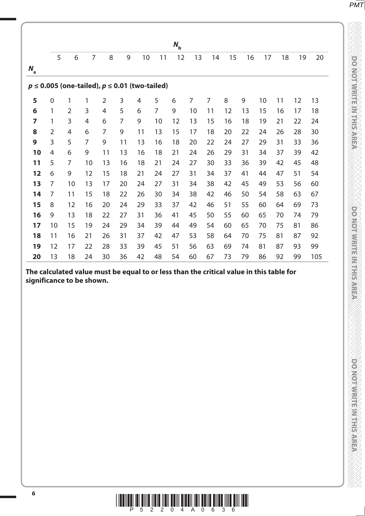**DONOTWRITEINTHIS AREA** 

**DOMOTIVE ENTERNATION AREA** 

DONOTWRITEINTHIS AREA

|             |                |                |                |                |                |                                                       |                | $N_{\rm b}$ |                |    |    |    |    |    |    |     |
|-------------|----------------|----------------|----------------|----------------|----------------|-------------------------------------------------------|----------------|-------------|----------------|----|----|----|----|----|----|-----|
|             | 5              | 6              | $\overline{7}$ | 8              | 9              | 10                                                    | 11             | 12          | 13             | 14 | 15 | 16 | 17 | 18 | 19 | 20  |
| $N_{\rm a}$ |                |                |                |                |                |                                                       |                |             |                |    |    |    |    |    |    |     |
|             |                |                |                |                |                | $p \le 0.005$ (one-tailed), $p \le 0.01$ (two-tailed) |                |             |                |    |    |    |    |    |    |     |
| 5           | 0              | 1              | 1              | $\overline{2}$ | 3              | 4                                                     | 5              | 6           | $\overline{7}$ | 7  | 8  | 9  | 10 | 11 | 12 | 13  |
| 6           | 1              | $\overline{2}$ | 3              | $\overline{4}$ | 5              | 6                                                     | $\overline{7}$ | 9           | 10             | 11 | 12 | 13 | 15 | 16 | 17 | 18  |
| 7           | 1              | $\overline{3}$ | $\overline{4}$ | 6              | $\overline{7}$ | 9                                                     | 10             | 12          | 13             | 15 | 16 | 18 | 19 | 21 | 22 | 24  |
| 8           | $\overline{2}$ | $\overline{4}$ | 6              | $\overline{7}$ | 9              | 11                                                    | 13             | 15          | 17             | 18 | 20 | 22 | 24 | 26 | 28 | 30  |
| 9           | 3              | 5              | $\overline{7}$ | 9              | 11             | 13                                                    | 16             | 18          | 20             | 22 | 24 | 27 | 29 | 31 | 33 | 36  |
| 10          | $\overline{4}$ | 6              | 9              | 11             | 13             | 16                                                    | 18             | 21          | 24             | 26 | 29 | 31 | 34 | 37 | 39 | 42  |
| 11          | 5              | $\overline{7}$ | 10             | 13             | 16             | 18                                                    | 21             | 24          | 27             | 30 | 33 | 36 | 39 | 42 | 45 | 48  |
| 12          | 6              | 9              | 12             | 15             | 18             | 21                                                    | 24             | 27          | 31             | 34 | 37 | 41 | 44 | 47 | 51 | 54  |
| 13          | $\overline{7}$ | 10             | 13             | 17             | 20             | 24                                                    | 27             | 31          | 34             | 38 | 42 | 45 | 49 | 53 | 56 | 60  |
| 14          | 7              | 11             | 15             | 18             | 22             | 26                                                    | 30             | 34          | 38             | 42 | 46 | 50 | 54 | 58 | 63 | 67  |
| 15          | 8              | 12             | 16             | 20             | 24             | 29                                                    | 33             | 37          | 42             | 46 | 51 | 55 | 60 | 64 | 69 | 73  |
| 16          | 9              | 13             | 18             | 22             | 27             | 31                                                    | 36             | 41          | 45             | 50 | 55 | 60 | 65 | 70 | 74 | 79  |
| 17          | 10             | 15             | 19             | 24             | 29             | 34                                                    | 39             | 44          | 49             | 54 | 60 | 65 | 70 | 75 | 81 | 86  |
| 18          | 11             | 16             | 21             | 26             | 31             | 37                                                    | 42             | 47          | 53             | 58 | 64 | 70 | 75 | 81 | 87 | 92  |
| 19          | 12             | 17             | 22             | 28             | 33             | 39                                                    | 45             | 51          | 56             | 63 | 69 | 74 | 81 | 87 | 93 | 99  |
| 20          | 13             | 18             | 24             | 30             | 36             | 42                                                    | 48             | 54          | 60             | 67 | 73 | 79 | 86 | 92 | 99 | 105 |

**The calculated value must be equal to or less than the critical value in this table for significance to be shown.**

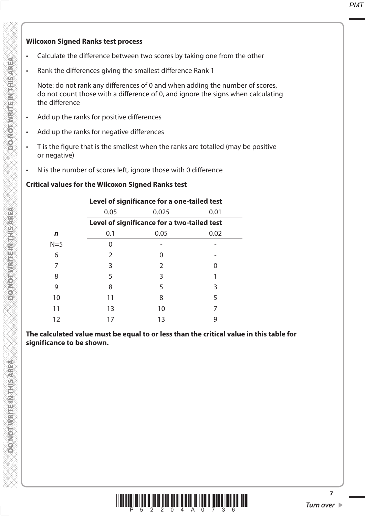# **Wilcoxon Signed Ranks test process**

- Calculate the difference between two scores by taking one from the other
- Rank the differences giving the smallest difference Rank 1

 Note: do not rank any differences of 0 and when adding the number of scores, do not count those with a difference of 0, and ignore the signs when calculating the difference

- Add up the ranks for positive differences
- Add up the ranks for negative differences
- T is the figure that is the smallest when the ranks are totalled (may be positive or negative)
- N is the number of scores left, ignore those with 0 difference

# **Critical values for the Wilcoxon Signed Ranks test**

|       |      | Level of significance for a one-tailed test |      |  |  |  |  |
|-------|------|---------------------------------------------|------|--|--|--|--|
|       | 0.05 | 0.025                                       | 0.01 |  |  |  |  |
|       |      | Level of significance for a two-tailed test |      |  |  |  |  |
| n     | 0.1  | 0.05                                        | 0.02 |  |  |  |  |
| $N=5$ | O    |                                             |      |  |  |  |  |
| 6     | 2    |                                             |      |  |  |  |  |
| 7     | 3    | 2                                           |      |  |  |  |  |
| 8     | 5    | 3                                           |      |  |  |  |  |
| 9     | 8    | 5                                           | 3    |  |  |  |  |
| 10    | 11   | 8                                           | 5    |  |  |  |  |
| 11    | 13   | 10                                          |      |  |  |  |  |
| 12    | 17   | 13                                          | 9    |  |  |  |  |

**The calculated value must be equal to or less than the critical value in this table for significance to be shown.** 



**7**

**ASSINGT MATERIARTS AREA**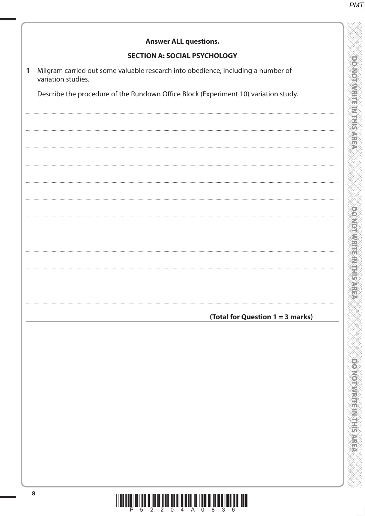|  | N |  |
|--|---|--|
|  |   |  |

1.<br>M

|              | <b>Answer ALL questions.</b>                                                                           |
|--------------|--------------------------------------------------------------------------------------------------------|
|              | <b>SECTION A: SOCIAL PSYCHOLOGY</b>                                                                    |
| $\mathbf{1}$ | Milgram carried out some valuable research into obedience, including a number of<br>variation studies. |
|              | Describe the procedure of the Rundown Office Block (Experiment 10) variation study.                    |
|              |                                                                                                        |
|              |                                                                                                        |
|              |                                                                                                        |
|              |                                                                                                        |
|              |                                                                                                        |
|              |                                                                                                        |
|              |                                                                                                        |
|              |                                                                                                        |
|              |                                                                                                        |
|              |                                                                                                        |
|              |                                                                                                        |
|              | (Total for Question 1 = 3 marks)                                                                       |
|              |                                                                                                        |
|              |                                                                                                        |
|              |                                                                                                        |
|              |                                                                                                        |
|              |                                                                                                        |
|              |                                                                                                        |
|              |                                                                                                        |
|              |                                                                                                        |
|              |                                                                                                        |
| 8            | <u> A TETRIT AND AN DI ANDRE AN DI ANDRE AND ANN AN DI AN</u><br>IIIII<br>0<br>$\Omega$<br>8<br>6      |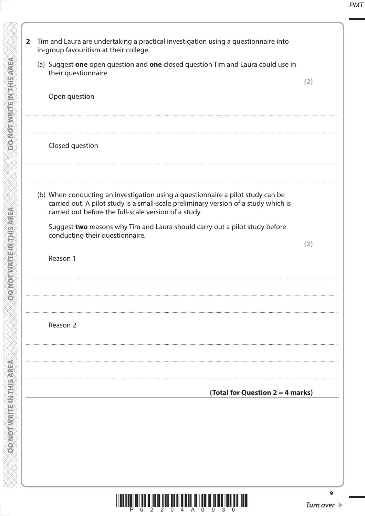

2 2 0 4 A 0 9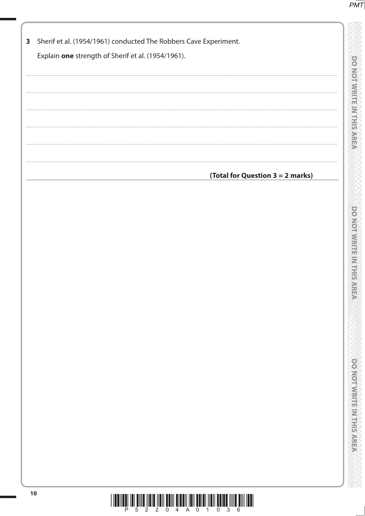| Sherif et al. (1954/1961) conducted The Robbers Cave Experiment. |  |
|------------------------------------------------------------------|--|
| Explain one strength of Sherif et al. (1954/1961).               |  |
|                                                                  |  |
|                                                                  |  |
|                                                                  |  |
|                                                                  |  |
|                                                                  |  |
|                                                                  |  |
|                                                                  |  |
| (Total for Question 3 = 2 marks)                                 |  |
|                                                                  |  |
|                                                                  |  |
|                                                                  |  |
|                                                                  |  |
|                                                                  |  |
|                                                                  |  |
|                                                                  |  |
|                                                                  |  |
|                                                                  |  |
|                                                                  |  |
|                                                                  |  |
|                                                                  |  |
|                                                                  |  |
|                                                                  |  |
|                                                                  |  |
|                                                                  |  |
|                                                                  |  |
|                                                                  |  |
|                                                                  |  |
|                                                                  |  |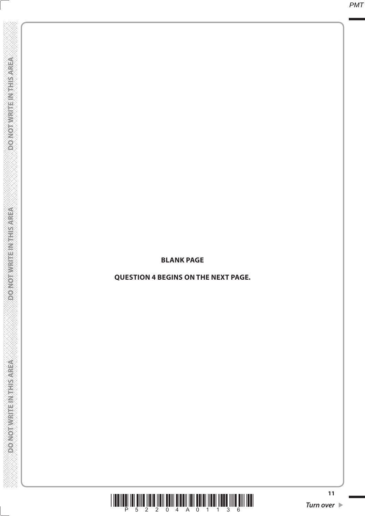

**QUESTION 4 BEGINS ON THE NEXT PAGE.**

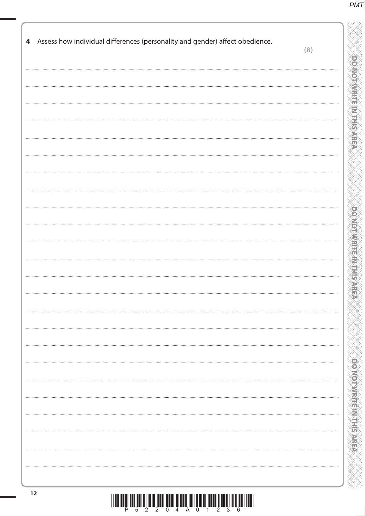|    | 4 Assess how individual differences (personality and gender) affect obedience. | (8) |
|----|--------------------------------------------------------------------------------|-----|
|    |                                                                                |     |
|    |                                                                                |     |
|    |                                                                                |     |
|    |                                                                                |     |
|    |                                                                                |     |
|    |                                                                                |     |
|    |                                                                                |     |
|    |                                                                                |     |
|    |                                                                                |     |
|    |                                                                                |     |
|    |                                                                                |     |
|    |                                                                                |     |
|    |                                                                                |     |
|    |                                                                                |     |
|    |                                                                                |     |
|    |                                                                                |     |
|    |                                                                                |     |
|    |                                                                                |     |
|    |                                                                                |     |
|    |                                                                                |     |
|    |                                                                                |     |
|    |                                                                                |     |
|    |                                                                                |     |
|    |                                                                                |     |
|    |                                                                                |     |
|    |                                                                                |     |
|    |                                                                                |     |
|    |                                                                                |     |
| 12 |                                                                                |     |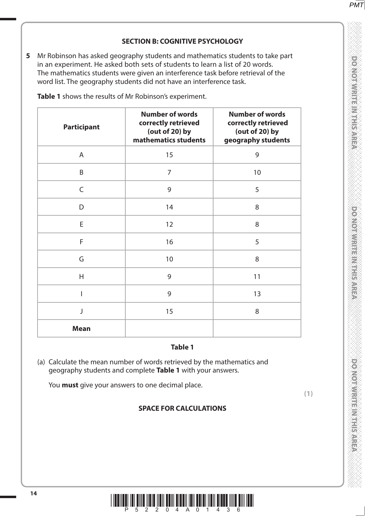### **SECTION B: COGNITIVE PSYCHOLOGY**

**5** Mr Robinson has asked geography students and mathematics students to take part in an experiment. He asked both sets of students to learn a list of 20 words. The mathematics students were given an interference task before retrieval of the word list. The geography students did not have an interference task.

**Table 1** shows the results of Mr Robinson's experiment.

| <b>Participant</b> | <b>Number of words</b><br>correctly retrieved<br>(out of 20) by<br>mathematics students | <b>Number of words</b><br>correctly retrieved<br>(out of 20) by<br>geography students |  |
|--------------------|-----------------------------------------------------------------------------------------|---------------------------------------------------------------------------------------|--|
| $\overline{A}$     | 15                                                                                      | 9                                                                                     |  |
| B                  | $\overline{7}$                                                                          | 10                                                                                    |  |
| $\mathsf{C}$       | 9                                                                                       | 5                                                                                     |  |
| D                  | 14                                                                                      | 8                                                                                     |  |
| E                  | 12                                                                                      | 8                                                                                     |  |
| F                  | 16                                                                                      | 5                                                                                     |  |
| G                  | 10 <sup>°</sup>                                                                         | 8                                                                                     |  |
| H                  | 9                                                                                       | 11                                                                                    |  |
|                    | 9                                                                                       | 13                                                                                    |  |
| J                  | 15                                                                                      | 8                                                                                     |  |
| <b>Mean</b>        |                                                                                         |                                                                                       |  |

#### **Table 1**

 (a) Calculate the mean number of words retrieved by the mathematics and geography students and complete **Table 1** with your answers.

You **must** give your answers to one decimal place.

#### **(1)**

# **SPACE FOR CALCULATIONS**



**DOMORWIGHT IN SERVICES**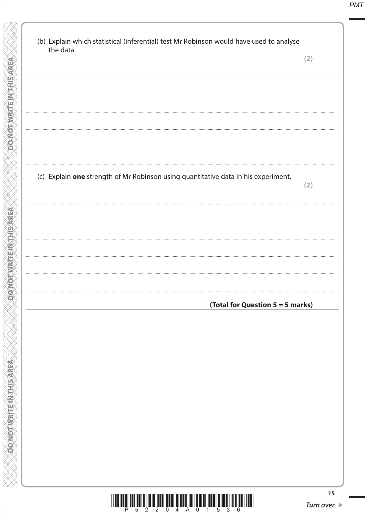| the data.                                                                                                                                                                                                                                                                                                                                                                                                                                                     | (2) |
|---------------------------------------------------------------------------------------------------------------------------------------------------------------------------------------------------------------------------------------------------------------------------------------------------------------------------------------------------------------------------------------------------------------------------------------------------------------|-----|
|                                                                                                                                                                                                                                                                                                                                                                                                                                                               |     |
|                                                                                                                                                                                                                                                                                                                                                                                                                                                               |     |
|                                                                                                                                                                                                                                                                                                                                                                                                                                                               |     |
|                                                                                                                                                                                                                                                                                                                                                                                                                                                               |     |
|                                                                                                                                                                                                                                                                                                                                                                                                                                                               |     |
|                                                                                                                                                                                                                                                                                                                                                                                                                                                               |     |
|                                                                                                                                                                                                                                                                                                                                                                                                                                                               |     |
| (c) Explain one strength of Mr Robinson using quantitative data in his experiment.                                                                                                                                                                                                                                                                                                                                                                            |     |
|                                                                                                                                                                                                                                                                                                                                                                                                                                                               | (2) |
|                                                                                                                                                                                                                                                                                                                                                                                                                                                               |     |
|                                                                                                                                                                                                                                                                                                                                                                                                                                                               |     |
|                                                                                                                                                                                                                                                                                                                                                                                                                                                               |     |
|                                                                                                                                                                                                                                                                                                                                                                                                                                                               |     |
|                                                                                                                                                                                                                                                                                                                                                                                                                                                               |     |
|                                                                                                                                                                                                                                                                                                                                                                                                                                                               |     |
|                                                                                                                                                                                                                                                                                                                                                                                                                                                               |     |
|                                                                                                                                                                                                                                                                                                                                                                                                                                                               |     |
| (Total for Question $5 = 5$ marks)                                                                                                                                                                                                                                                                                                                                                                                                                            |     |
|                                                                                                                                                                                                                                                                                                                                                                                                                                                               |     |
|                                                                                                                                                                                                                                                                                                                                                                                                                                                               |     |
|                                                                                                                                                                                                                                                                                                                                                                                                                                                               |     |
|                                                                                                                                                                                                                                                                                                                                                                                                                                                               |     |
|                                                                                                                                                                                                                                                                                                                                                                                                                                                               |     |
|                                                                                                                                                                                                                                                                                                                                                                                                                                                               |     |
|                                                                                                                                                                                                                                                                                                                                                                                                                                                               |     |
|                                                                                                                                                                                                                                                                                                                                                                                                                                                               |     |
|                                                                                                                                                                                                                                                                                                                                                                                                                                                               |     |
|                                                                                                                                                                                                                                                                                                                                                                                                                                                               |     |
|                                                                                                                                                                                                                                                                                                                                                                                                                                                               |     |
| $\begin{array}{c} \text{if} \ \text{if} \ \text{if} \ \text{if} \ \text{if} \ \text{if} \ \text{if} \ \text{if} \ \text{if} \ \text{if} \ \text{if} \ \text{if} \ \text{if} \ \text{if} \ \text{if} \ \text{if} \ \text{if} \ \text{if} \ \text{if} \ \text{if} \ \text{if} \ \text{if} \ \text{if} \ \text{if} \ \text{if} \ \text{if} \ \text{if} \ \text{if} \ \text{if} \ \text{if} \ \text{if} \ \text{if} \ \text{if} \ \text{if} \ \text{if} \ \text{$ |     |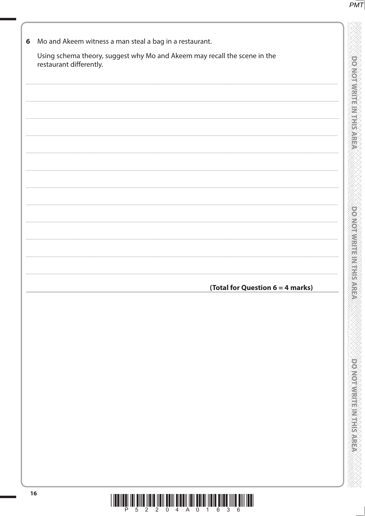| 6 Mo and Akeem witness a man steal a bag in a restaurant.                                            |
|------------------------------------------------------------------------------------------------------|
| Using schema theory, suggest why Mo and Akeem may recall the scene in the<br>restaurant differently. |
|                                                                                                      |
|                                                                                                      |
|                                                                                                      |
|                                                                                                      |
|                                                                                                      |
|                                                                                                      |
|                                                                                                      |
|                                                                                                      |
|                                                                                                      |
|                                                                                                      |
|                                                                                                      |
|                                                                                                      |
| (Total for Question 6 = 4 marks)                                                                     |
|                                                                                                      |
|                                                                                                      |
|                                                                                                      |
|                                                                                                      |
|                                                                                                      |
|                                                                                                      |
|                                                                                                      |
|                                                                                                      |
|                                                                                                      |
|                                                                                                      |
|                                                                                                      |
|                                                                                                      |

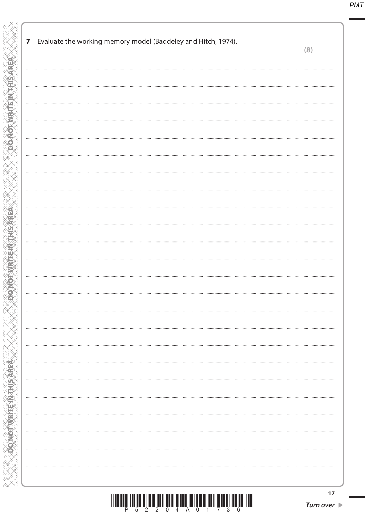|                                           | Evaluate the working memory model (Baddeley and Hitch, 1974).<br>$\overline{7}$ | (8) |
|-------------------------------------------|---------------------------------------------------------------------------------|-----|
|                                           |                                                                                 |     |
| <b>VERVISHING IN ANNUALISMEN</b>          |                                                                                 |     |
|                                           | <br>                                                                            |     |
|                                           |                                                                                 |     |
|                                           | <br>                                                                            |     |
| <b>POSTORY IS A REPORT OF A STRATEGIC</b> | <br>                                                                            |     |
|                                           |                                                                                 |     |
|                                           |                                                                                 |     |
|                                           |                                                                                 |     |
| <b>REPARED AN ENTRANCES</b>               |                                                                                 |     |
|                                           |                                                                                 |     |
|                                           |                                                                                 |     |
|                                           |                                                                                 | 17  |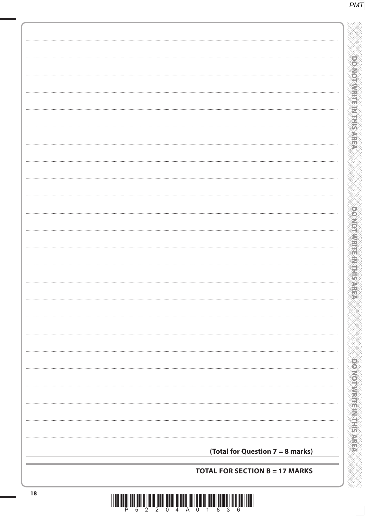| <b>TOTAL FOR SECTION B = 17 MARKS</b> |                              |
|---------------------------------------|------------------------------|
| (Total for Question 7 = 8 marks)      |                              |
|                                       | policialisticalistical       |
|                                       |                              |
|                                       |                              |
|                                       |                              |
|                                       |                              |
|                                       |                              |
|                                       |                              |
|                                       | <b>CONGRESS CONSTRUCTION</b> |
|                                       |                              |
|                                       |                              |
|                                       |                              |
|                                       |                              |
|                                       | <b>DONICARITY RESIDENCES</b> |
|                                       |                              |
| .                                     |                              |
|                                       |                              |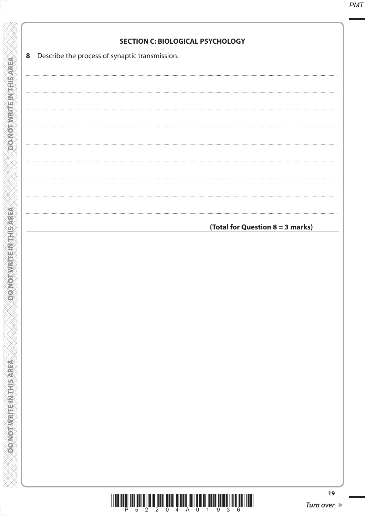|                                             | <b>SECTION C: BIOLOGICAL PSYCHOLOGY</b>                    |
|---------------------------------------------|------------------------------------------------------------|
|                                             | Describe the process of synaptic transmission.<br>$\bf{8}$ |
| <b>VERVES PRINTED MANAGEMENT CONFIDENTI</b> |                                                            |
|                                             |                                                            |
|                                             |                                                            |
|                                             |                                                            |
|                                             |                                                            |
|                                             |                                                            |
|                                             |                                                            |
|                                             |                                                            |
|                                             |                                                            |
|                                             |                                                            |
| <b>ANOTAL TELEVISION</b>                    | (Total for Question 8 = 3 marks)                           |
|                                             |                                                            |
|                                             |                                                            |
|                                             |                                                            |
|                                             |                                                            |
| Ō                                           |                                                            |
|                                             |                                                            |
|                                             |                                                            |
|                                             |                                                            |
|                                             |                                                            |
|                                             |                                                            |
|                                             |                                                            |
| <b>DONOTWRITE INTHIS AREA</b>               |                                                            |
|                                             |                                                            |
|                                             |                                                            |
|                                             |                                                            |
|                                             |                                                            |
|                                             |                                                            |

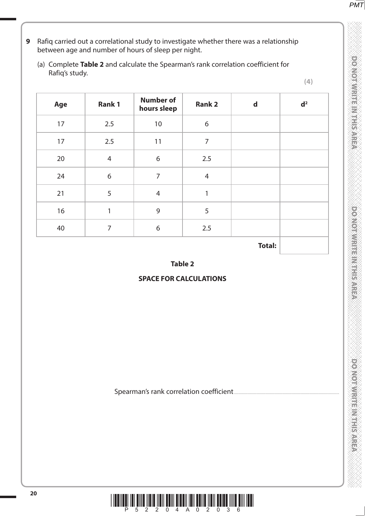- **9** Rafiq carried out a correlational study to investigate whether there was a relationship between age and number of hours of sleep per night.
	- (a) Complete **Table 2** and calculate the Spearman's rank correlation coefficient for Rafiq's study.

| Age | Rank 1         | <b>Number of</b><br>hours sleep | Rank 2         | $\mathbf d$ | d <sup>2</sup> |
|-----|----------------|---------------------------------|----------------|-------------|----------------|
| 17  | 2.5            | 10                              | 6              |             |                |
| 17  | 2.5            | 11                              | 7              |             |                |
| 20  | $\overline{4}$ | 6                               | 2.5            |             |                |
| 24  | 6              | 7                               | $\overline{4}$ |             |                |
| 21  | 5              | $\overline{4}$                  | 1              |             |                |
| 16  |                | 9                               | 5              |             |                |

**Total:**

#### **Table 2**

40 7 6 2.5

# **SPACE FOR CALCULATIONS**

Spearman's rank correlation coefficient .............................................................................................



**(4)**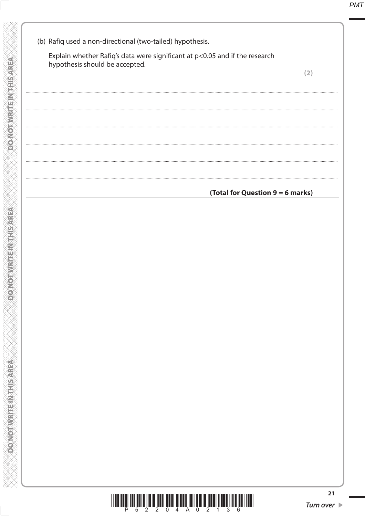| Explain whether Rafiq's data were significant at p<0.05 and if the research |                                  |
|-----------------------------------------------------------------------------|----------------------------------|
| hypothesis should be accepted.                                              | (2)                              |
|                                                                             |                                  |
|                                                                             |                                  |
|                                                                             |                                  |
|                                                                             |                                  |
|                                                                             |                                  |
|                                                                             |                                  |
|                                                                             |                                  |
|                                                                             |                                  |
|                                                                             | (Total for Question 9 = 6 marks) |
|                                                                             |                                  |
|                                                                             |                                  |
|                                                                             |                                  |
|                                                                             |                                  |
|                                                                             |                                  |
|                                                                             |                                  |
|                                                                             |                                  |
|                                                                             |                                  |
|                                                                             |                                  |
|                                                                             |                                  |
|                                                                             |                                  |
|                                                                             |                                  |
|                                                                             |                                  |
|                                                                             |                                  |
|                                                                             |                                  |
|                                                                             |                                  |
|                                                                             |                                  |
|                                                                             |                                  |
|                                                                             |                                  |
|                                                                             |                                  |

**DONOTWRITENTHIS AREA** 

**DONORWHEIMTHIS AREA** 

**DOMOTWRITENTHIS AREA**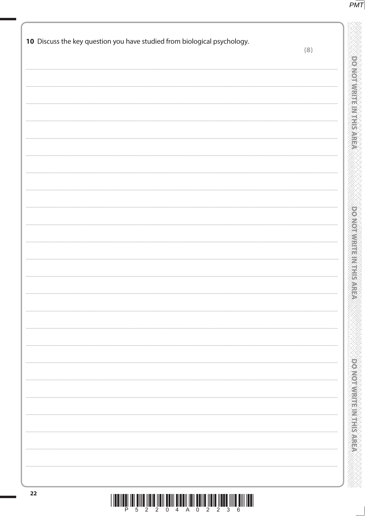| 10 Discuss the key question you have studied from biological psychology. | (8) |                              |
|--------------------------------------------------------------------------|-----|------------------------------|
|                                                                          |     | <b>DONNOIRMENT REPORTS</b>   |
|                                                                          |     |                              |
|                                                                          |     |                              |
|                                                                          |     | <b>DONOMIA BEAM STATE</b>    |
|                                                                          |     |                              |
|                                                                          |     |                              |
|                                                                          |     | <b>DOMOROWRISH REFIRANSE</b> |
|                                                                          |     |                              |
| つつ                                                                       |     |                              |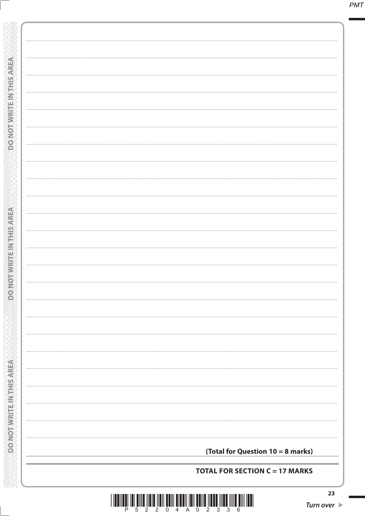| (Total for Question 10 = 8 marks)     |
|---------------------------------------|
| <b>TOTAL FOR SECTION C = 17 MARKS</b> |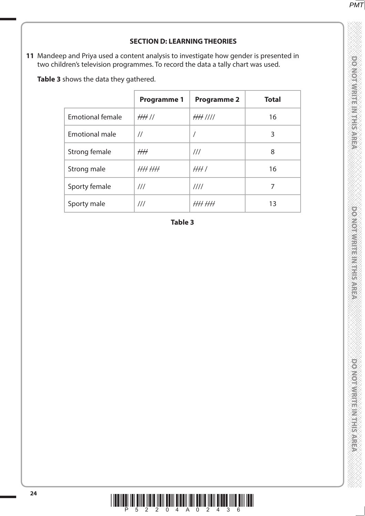**DOMORWRITER METALSAREA** 

**DONORMENT EINERSTER** 

**DONORWRITESMSELSARER** 

# **SECTION D: LEARNING THEORIES**

**11** Mandeep and Priya used a content analysis to investigate how gender is presented in two children's television programmes. To record the data a tally chart was used.

**Table 3** shows the data they gathered.

|                         | <b>Programme 1</b>      | <b>Programme 2</b>      | <b>Total</b> |
|-------------------------|-------------------------|-------------------------|--------------|
| <b>Emotional female</b> | HHII                    |                         | 16           |
| <b>Emotional male</b>   | $\frac{1}{2}$           |                         | 3            |
| Strong female           | $\#H$                   | $^{\prime\prime\prime}$ | 8            |
| Strong male             | <i>HH HH</i>            | $\#$                    | 16           |
| Sporty female           | $\frac{1}{1}$           | 1111                    | 7            |
| Sporty male             | $^{\prime\prime\prime}$ | <i>HH HH</i>            | 13           |

**Table 3**

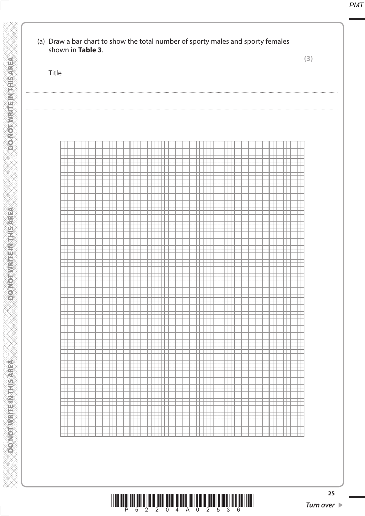|       |                                                                                          |                                 | (3) |
|-------|------------------------------------------------------------------------------------------|---------------------------------|-----|
| Title |                                                                                          |                                 |     |
|       |                                                                                          |                                 |     |
|       |                                                                                          |                                 |     |
|       |                                                                                          |                                 |     |
|       |                                                                                          |                                 |     |
|       |                                                                                          |                                 |     |
|       |                                                                                          |                                 |     |
|       |                                                                                          |                                 |     |
|       |                                                                                          |                                 |     |
|       |                                                                                          |                                 |     |
|       |                                                                                          |                                 |     |
|       |                                                                                          |                                 |     |
|       |                                                                                          |                                 |     |
|       |                                                                                          |                                 |     |
|       |                                                                                          |                                 |     |
|       |                                                                                          |                                 |     |
|       |                                                                                          |                                 |     |
|       |                                                                                          |                                 |     |
|       |                                                                                          |                                 |     |
|       |                                                                                          |                                 |     |
|       |                                                                                          |                                 |     |
|       |                                                                                          |                                 |     |
|       |                                                                                          |                                 |     |
|       | $\mathbf{r}$                                                                             | ⊤<br>- 11                       | ___ |
|       |                                                                                          |                                 |     |
|       |                                                                                          | $\mathbb{R}$                    |     |
|       |                                                                                          |                                 |     |
|       | ┰┓<br>$\mathbf{I}$                                                                       | ⊤                               | ┯┷  |
|       |                                                                                          |                                 |     |
|       |                                                                                          | $\mathbb{R}$                    |     |
|       |                                                                                          |                                 |     |
|       | T 1 1 1 1 1 1<br>n n<br>– <del>– – –</del><br>$\blacksquare$<br>. .<br>.<br>$\mathbf{1}$ | ╖<br>- 11                       | ┰┰  |
|       |                                                                                          | T.                              |     |
|       |                                                                                          |                                 |     |
|       |                                                                                          |                                 |     |
|       |                                                                                          | н                               |     |
|       | ⊥<br>$\perp$<br>$\perp$                                                                  | ╨<br>$\bot$<br>ப                |     |
|       |                                                                                          | والمناصف المنافذ<br>___________ |     |

DONOT WRITE INTHIS AREA

**DONOTWRITEINTHISAREA** 

**DOMOTWRITE IN THIS AREA** 



 $25$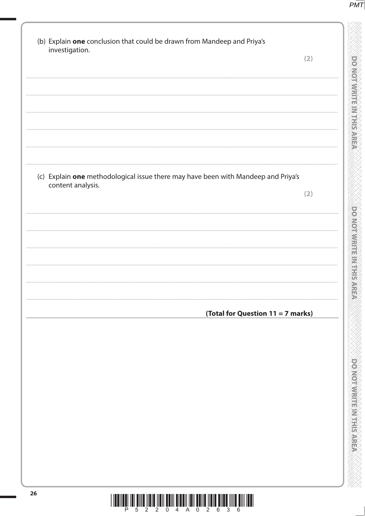| investigation.    | (2)                                                                               |  |
|-------------------|-----------------------------------------------------------------------------------|--|
|                   |                                                                                   |  |
|                   |                                                                                   |  |
|                   |                                                                                   |  |
|                   |                                                                                   |  |
|                   |                                                                                   |  |
|                   |                                                                                   |  |
|                   |                                                                                   |  |
|                   |                                                                                   |  |
|                   | (c) Explain one methodological issue there may have been with Mandeep and Priya's |  |
| content analysis. |                                                                                   |  |
|                   | (2)                                                                               |  |
|                   |                                                                                   |  |
|                   |                                                                                   |  |
|                   |                                                                                   |  |
|                   |                                                                                   |  |
|                   |                                                                                   |  |
|                   |                                                                                   |  |
|                   |                                                                                   |  |
|                   | (Total for Question 11 = 7 marks)                                                 |  |
|                   |                                                                                   |  |
|                   |                                                                                   |  |
|                   |                                                                                   |  |
|                   |                                                                                   |  |
|                   |                                                                                   |  |
|                   |                                                                                   |  |
|                   |                                                                                   |  |
|                   |                                                                                   |  |
|                   |                                                                                   |  |
|                   |                                                                                   |  |
|                   |                                                                                   |  |
|                   |                                                                                   |  |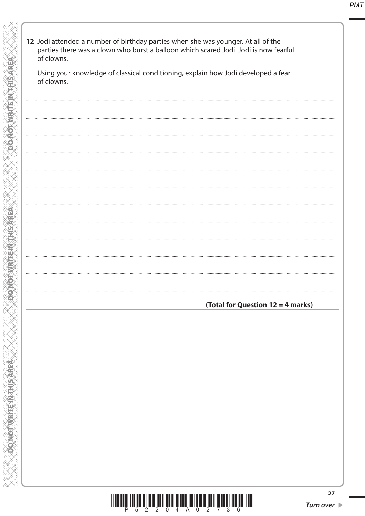| Using your knowledge of classical conditioning, explain how Jodi developed a fear<br>of clowns. |
|-------------------------------------------------------------------------------------------------|
|                                                                                                 |
|                                                                                                 |
|                                                                                                 |
|                                                                                                 |
|                                                                                                 |
|                                                                                                 |
|                                                                                                 |
|                                                                                                 |
|                                                                                                 |
|                                                                                                 |
|                                                                                                 |
|                                                                                                 |
|                                                                                                 |
|                                                                                                 |
|                                                                                                 |
|                                                                                                 |
|                                                                                                 |
|                                                                                                 |
|                                                                                                 |
|                                                                                                 |
| (Total for Question 12 = 4 marks)                                                               |
|                                                                                                 |
|                                                                                                 |
|                                                                                                 |
|                                                                                                 |
|                                                                                                 |
|                                                                                                 |
|                                                                                                 |
|                                                                                                 |
|                                                                                                 |
|                                                                                                 |
|                                                                                                 |
|                                                                                                 |
|                                                                                                 |
|                                                                                                 |

**DO NOT WRITE IN THIS AREA** 

**DO NOT WRITE IN THIS AREA** 

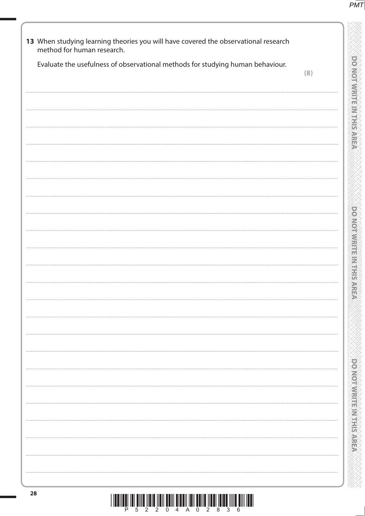| method for human research. | 13 When studying learning theories you will have covered the observational research |
|----------------------------|-------------------------------------------------------------------------------------|
|                            |                                                                                     |
|                            | Evaluate the usefulness of observational methods for studying human behaviour.      |
|                            | (8)                                                                                 |
|                            |                                                                                     |
|                            |                                                                                     |
|                            |                                                                                     |
|                            |                                                                                     |
|                            |                                                                                     |
|                            |                                                                                     |
|                            |                                                                                     |
|                            |                                                                                     |
|                            |                                                                                     |
|                            |                                                                                     |
|                            |                                                                                     |
|                            |                                                                                     |
|                            |                                                                                     |
|                            |                                                                                     |
|                            |                                                                                     |
|                            |                                                                                     |
|                            |                                                                                     |
|                            |                                                                                     |
|                            |                                                                                     |
|                            |                                                                                     |
|                            |                                                                                     |
|                            |                                                                                     |
|                            |                                                                                     |
|                            |                                                                                     |
|                            |                                                                                     |
|                            |                                                                                     |
|                            |                                                                                     |
|                            |                                                                                     |
|                            |                                                                                     |
|                            |                                                                                     |
|                            |                                                                                     |
|                            |                                                                                     |
|                            |                                                                                     |
|                            |                                                                                     |
|                            |                                                                                     |
|                            |                                                                                     |
|                            |                                                                                     |
|                            |                                                                                     |
|                            |                                                                                     |
|                            |                                                                                     |
|                            |                                                                                     |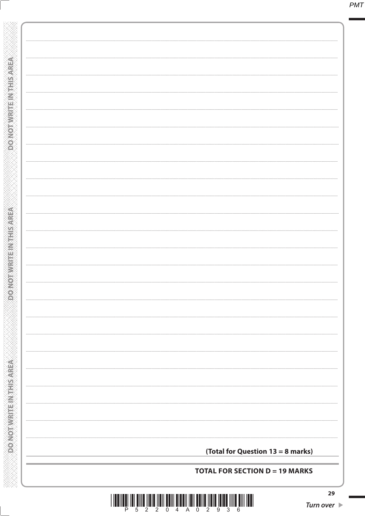| (Total for Question 13 = 8 marks)     |
|---------------------------------------|
| <b>TOTAL FOR SECTION D = 19 MARKS</b> |
|                                       |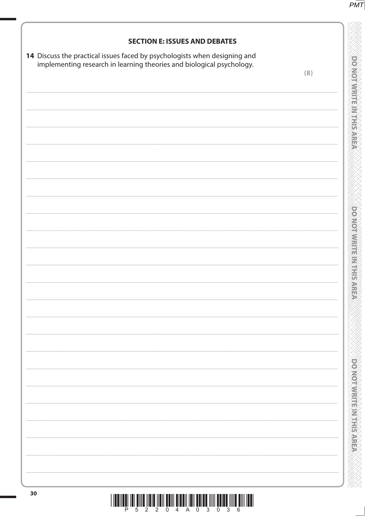| 14 Discuss the practical issues faced by psychologists when designing and |     |
|---------------------------------------------------------------------------|-----|
| implementing research in learning theories and biological psychology.     | (8) |
|                                                                           |     |
|                                                                           |     |
|                                                                           |     |
|                                                                           |     |
|                                                                           |     |
|                                                                           |     |
|                                                                           |     |
|                                                                           |     |
|                                                                           |     |
|                                                                           |     |
|                                                                           |     |
|                                                                           |     |
|                                                                           |     |
|                                                                           |     |
|                                                                           |     |
|                                                                           |     |
|                                                                           |     |
|                                                                           |     |
|                                                                           |     |
|                                                                           |     |
|                                                                           |     |
|                                                                           |     |
|                                                                           |     |
|                                                                           |     |
|                                                                           |     |
|                                                                           |     |
|                                                                           |     |
|                                                                           |     |
|                                                                           |     |
|                                                                           |     |
|                                                                           |     |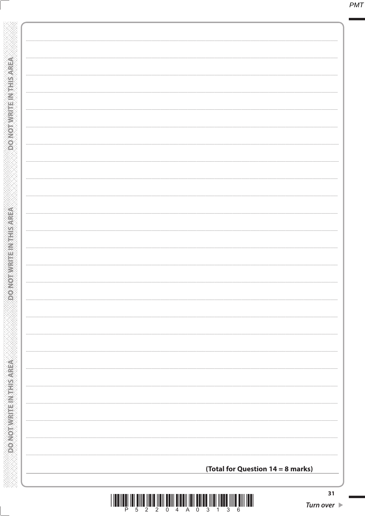| $\cdots$                          |
|-----------------------------------|
|                                   |
|                                   |
|                                   |
|                                   |
|                                   |
|                                   |
| (Total for Question 14 = 8 marks) |
|                                   |

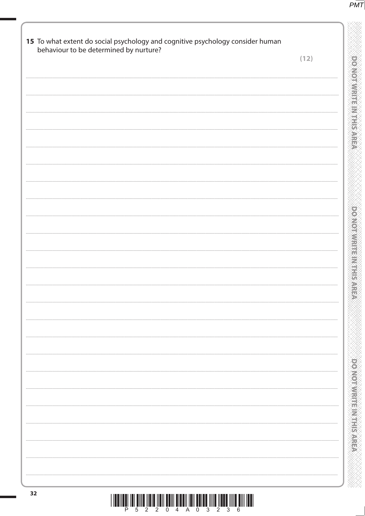|--|

| 15 To what extent do social psychology and cognitive psychology consider human<br>behaviour to be determined by nurture? |      |
|--------------------------------------------------------------------------------------------------------------------------|------|
|                                                                                                                          | (12) |
|                                                                                                                          |      |
|                                                                                                                          |      |
|                                                                                                                          |      |
|                                                                                                                          |      |
|                                                                                                                          |      |
|                                                                                                                          |      |
|                                                                                                                          |      |
|                                                                                                                          |      |
|                                                                                                                          |      |
|                                                                                                                          |      |
|                                                                                                                          |      |
|                                                                                                                          |      |
|                                                                                                                          |      |
|                                                                                                                          |      |
|                                                                                                                          |      |
|                                                                                                                          |      |
|                                                                                                                          |      |
|                                                                                                                          |      |
|                                                                                                                          |      |
|                                                                                                                          |      |
|                                                                                                                          |      |
|                                                                                                                          |      |
|                                                                                                                          |      |
|                                                                                                                          |      |
|                                                                                                                          |      |
|                                                                                                                          |      |
|                                                                                                                          |      |
|                                                                                                                          |      |
|                                                                                                                          |      |
|                                                                                                                          |      |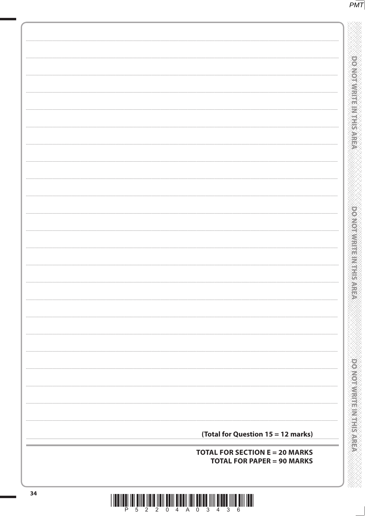|    | .                                                                                                                |                             |
|----|------------------------------------------------------------------------------------------------------------------|-----------------------------|
|    |                                                                                                                  |                             |
|    |                                                                                                                  | <b>DONNAIRMAN BEATAINS</b>  |
|    |                                                                                                                  |                             |
|    |                                                                                                                  |                             |
|    |                                                                                                                  |                             |
|    |                                                                                                                  | $\frac{8}{9}$               |
|    |                                                                                                                  |                             |
|    |                                                                                                                  |                             |
|    |                                                                                                                  | <b>Monday Communication</b> |
|    |                                                                                                                  |                             |
|    |                                                                                                                  |                             |
|    |                                                                                                                  |                             |
|    |                                                                                                                  |                             |
|    |                                                                                                                  | <b>DONORWARE MARISMED</b>   |
|    |                                                                                                                  |                             |
|    | (Total for Question 15 = 12 marks)<br><b>TOTAL FOR SECTION E = 20 MARKS</b><br><b>TOTAL FOR PAPER = 90 MARKS</b> |                             |
| 34 | <u> 1 10011001 101 01110 11010 11011 00111 010011 1011 00100 11111 01000 11110 0111 1001</u>                     |                             |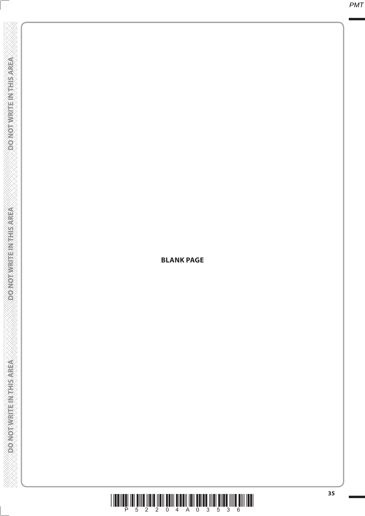**DOMOT WRITEIN THIS AREA** 

**BLANK PAGE**